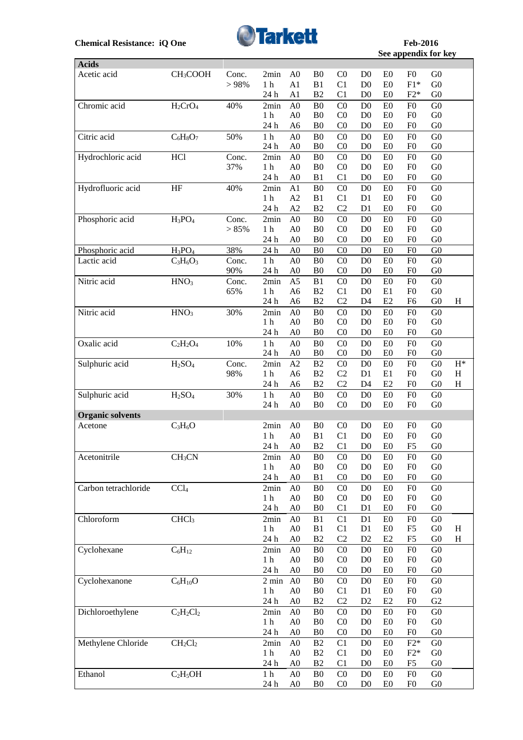**Acids**



**See appendix for key See appendix for key** 

 $\overline{\phantom{0}}$ 

| Acids                   |                                |       |                 |                |                                  |                                  |                                  |                      |                |                |                |
|-------------------------|--------------------------------|-------|-----------------|----------------|----------------------------------|----------------------------------|----------------------------------|----------------------|----------------|----------------|----------------|
| Acetic acid             | CH <sub>3</sub> COOH           | Conc. | 2min            | A <sub>0</sub> | B <sub>0</sub>                   | C <sub>0</sub>                   | D <sub>0</sub>                   | E <sub>0</sub>       | F <sub>0</sub> | G <sub>0</sub> |                |
|                         |                                | > 98% | 1 <sub>h</sub>  | A1             | B1                               | C1                               | D <sub>0</sub>                   | E0                   | $F1*$          | G <sub>0</sub> |                |
|                         |                                |       | 24 h            | A1             | B2                               | C1                               | D <sub>0</sub>                   | E0                   | $F2*$          | G <sub>0</sub> |                |
| Chromic acid            | $H_2CrO_4$                     | 40%   | 2min            | A <sub>0</sub> | B <sub>0</sub>                   | CO                               | D <sub>0</sub>                   | E0                   | F <sub>0</sub> | G <sub>0</sub> |                |
|                         |                                |       | 1 <sub>h</sub>  | A <sub>0</sub> | B <sub>0</sub>                   | C <sub>0</sub>                   | D <sub>0</sub>                   | E <sub>0</sub>       | F <sub>0</sub> | G <sub>0</sub> |                |
|                         |                                |       | 24 h            | A <sub>6</sub> | B <sub>0</sub>                   | CO                               | D <sub>0</sub>                   | E <sub>0</sub>       | F <sub>0</sub> | G <sub>0</sub> |                |
| Citric acid             | $C_6H_8O_7$                    | 50%   | $1\ \mathrm{h}$ | A <sub>0</sub> | B <sub>0</sub>                   | CO                               | D <sub>0</sub>                   | E <sub>0</sub>       | F <sub>0</sub> | G <sub>0</sub> |                |
|                         |                                |       | 24 h            | A <sub>0</sub> | B <sub>0</sub>                   | C <sub>0</sub>                   | D <sub>0</sub>                   | E <sub>0</sub>       | F <sub>0</sub> | G <sub>0</sub> |                |
| Hydrochloric acid       | <b>HCl</b>                     | Conc. | 2min            | A <sub>0</sub> | B <sub>0</sub>                   | CO                               | D <sub>0</sub>                   | E <sub>0</sub>       | F <sub>0</sub> | G <sub>0</sub> |                |
|                         |                                | 37%   | 1 <sub>h</sub>  | A <sub>0</sub> | B <sub>0</sub>                   | C <sub>0</sub>                   | D <sub>0</sub>                   | E0                   | F <sub>0</sub> | G <sub>0</sub> |                |
|                         |                                |       | 24 h            | A <sub>0</sub> | B1                               | C1                               | D <sub>0</sub>                   | E0                   | F <sub>0</sub> | G <sub>0</sub> |                |
| Hydrofluoric acid       | $\rm{HF}$                      | 40%   | 2min            | A1             | B <sub>0</sub>                   | C <sub>0</sub>                   | D <sub>0</sub>                   | E0                   | F <sub>0</sub> | G <sub>0</sub> |                |
|                         |                                |       | 1 <sub>h</sub>  | A2             | B1                               | C1                               | D <sub>1</sub>                   | E <sub>0</sub>       | F <sub>0</sub> | G <sub>0</sub> |                |
|                         |                                |       | 24 h            | A2             | B2                               | C <sub>2</sub>                   | D1                               | E <sub>0</sub>       | F <sub>0</sub> | G <sub>0</sub> |                |
| Phosphoric acid         | $H_3PO_4$                      | Conc. | 2min            | A <sub>0</sub> | B <sub>0</sub>                   | CO                               | D <sub>0</sub>                   | E <sub>0</sub>       | F <sub>0</sub> | G <sub>0</sub> |                |
|                         |                                | > 85% | 1 <sub>h</sub>  | A <sub>0</sub> | B <sub>0</sub>                   | C <sub>0</sub>                   | D <sub>0</sub>                   | E <sub>0</sub>       | F <sub>0</sub> | G <sub>0</sub> |                |
|                         |                                |       | 24 h            | A <sub>0</sub> | B <sub>0</sub>                   | C <sub>0</sub>                   | D <sub>0</sub>                   | E <sub>0</sub>       | F <sub>0</sub> | ${\rm G0}$     |                |
| Phosphoric acid         | $H_3PO_4$                      | 38%   | 24 h            | A <sub>0</sub> | B <sub>0</sub>                   | C <sub>0</sub>                   | D <sub>0</sub>                   | E <sub>0</sub>       | F <sub>0</sub> | G <sub>0</sub> |                |
| Lactic acid             | $C_3H_6O_3$                    | Conc. | 1 <sub>h</sub>  | A <sub>0</sub> | B <sub>0</sub>                   | C <sub>0</sub>                   | D <sub>0</sub>                   | E0                   | F <sub>0</sub> | G <sub>0</sub> |                |
|                         |                                | 90%   | 24 h            | A <sub>0</sub> | B <sub>0</sub>                   | C <sub>0</sub>                   | D <sub>0</sub>                   | E <sub>0</sub>       | F <sub>0</sub> | G <sub>0</sub> |                |
| Nitric acid             | HNO <sub>3</sub>               | Conc. | 2min            | A <sub>5</sub> | B1                               | C <sub>0</sub>                   | D <sub>0</sub>                   | E <sub>0</sub>       | F <sub>0</sub> | G <sub>0</sub> |                |
|                         |                                | 65%   | 1 <sub>h</sub>  | A <sub>6</sub> | B2                               | C1                               | D <sub>0</sub>                   | E1                   | F <sub>0</sub> | G <sub>0</sub> |                |
|                         |                                |       | 24 h            | A <sub>6</sub> | B2                               | C <sub>2</sub>                   | D <sub>4</sub>                   | E2                   | F <sub>6</sub> | G <sub>0</sub> | H              |
| Nitric acid             |                                |       |                 | A <sub>0</sub> |                                  |                                  |                                  |                      | F <sub>0</sub> | G <sub>0</sub> |                |
|                         | HNO <sub>3</sub>               | 30%   | 2min            | A <sub>0</sub> | B <sub>0</sub><br>B <sub>0</sub> | C <sub>0</sub><br>C <sub>0</sub> | D <sub>0</sub><br>D <sub>0</sub> | E <sub>0</sub><br>E0 | F <sub>0</sub> | G <sub>0</sub> |                |
|                         |                                |       | 1 <sub>h</sub>  |                | B <sub>0</sub>                   | C <sub>0</sub>                   |                                  |                      | F <sub>0</sub> | G <sub>0</sub> |                |
|                         |                                |       | 24 h            | A <sub>0</sub> |                                  |                                  | D <sub>0</sub>                   | E <sub>0</sub>       |                |                |                |
| Oxalic acid             | $C_2H_2O_4$                    | 10%   | 1 <sub>h</sub>  | A <sub>0</sub> | B <sub>0</sub>                   | CO                               | D <sub>0</sub>                   | E0                   | F <sub>0</sub> | G <sub>0</sub> |                |
|                         |                                |       | 24 h            | ${\rm A0}$     | B <sub>0</sub>                   | C <sub>0</sub>                   | D <sub>0</sub>                   | E <sub>0</sub>       | F <sub>0</sub> | G <sub>0</sub> |                |
| Sulphuric acid          | H <sub>2</sub> SO <sub>4</sub> | Conc. | 2min            | A2             | B2                               | C <sub>0</sub>                   | D <sub>0</sub>                   | E0                   | F <sub>0</sub> | G <sub>0</sub> | $\mathbf{H}^*$ |
|                         |                                | 98%   | $1\ \mathrm{h}$ | A <sub>6</sub> | B2                               | C2                               | D1                               | E1                   | F <sub>0</sub> | G <sub>0</sub> | $H_{\rm}$      |
|                         |                                |       | 24 h            | A <sub>6</sub> | B2                               | C <sub>2</sub>                   | D <sub>4</sub>                   | E2                   | F <sub>0</sub> | G <sub>0</sub> | $H_{\rm}$      |
| Sulphuric acid          | H <sub>2</sub> SO <sub>4</sub> | 30%   | $1\ \mathrm{h}$ | A <sub>0</sub> | B <sub>0</sub>                   | C <sub>0</sub>                   | D <sub>0</sub>                   | E0                   | F <sub>0</sub> | G <sub>0</sub> |                |
|                         |                                |       | 24 h            | A <sub>0</sub> | B <sub>0</sub>                   | C <sub>0</sub>                   | D <sub>0</sub>                   | E <sub>0</sub>       | F <sub>0</sub> | G <sub>0</sub> |                |
| <b>Organic solvents</b> |                                |       |                 |                |                                  |                                  |                                  |                      |                |                |                |
| Acetone                 | $C_3H_6O$                      |       | 2min            | A <sub>0</sub> | B <sub>0</sub>                   | C <sub>0</sub>                   | D <sub>0</sub>                   | E0                   | F <sub>0</sub> | G <sub>0</sub> |                |
|                         |                                |       | 1 <sub>h</sub>  | A <sub>0</sub> | B1                               | C1                               | D <sub>0</sub>                   | E0                   | F <sub>0</sub> | ${\rm G0}$     |                |
|                         |                                |       | 24 h            | A <sub>0</sub> | B2                               | C1                               | D <sub>0</sub>                   | E0                   | F <sub>5</sub> | G <sub>0</sub> |                |
| Acetonitrile            | CH <sub>3</sub> CN             |       | 2min            | A <sub>0</sub> | B <sub>0</sub>                   | C <sub>0</sub>                   | D <sub>0</sub>                   | E <sub>0</sub>       | ${\rm F0}$     | G <sub>0</sub> |                |
|                         |                                |       | 1 <sub>h</sub>  | A <sub>0</sub> | B <sub>0</sub>                   | C <sub>0</sub>                   | D <sub>0</sub>                   | E <sub>0</sub>       | F <sub>0</sub> | G <sub>0</sub> |                |
|                         |                                |       | 24 h            | A <sub>0</sub> | B1                               | C <sub>0</sub>                   | D <sub>0</sub>                   | E <sub>0</sub>       | F <sub>0</sub> | G <sub>0</sub> |                |
| Carbon tetrachloride    | CCl <sub>4</sub>               |       | 2min            | A <sub>0</sub> | B <sub>0</sub>                   | C <sub>0</sub>                   | D <sub>0</sub>                   | E0                   | F <sub>0</sub> | G <sub>0</sub> |                |
|                         |                                |       | 1 <sub>h</sub>  | A <sub>0</sub> | B <sub>0</sub>                   | C <sub>0</sub>                   | D <sub>0</sub>                   | E <sub>0</sub>       | F <sub>0</sub> | G <sub>0</sub> |                |
|                         |                                |       | 24 h            | A <sub>0</sub> | B <sub>0</sub>                   | C <sub>1</sub>                   | D <sub>1</sub>                   | E <sub>0</sub>       | F <sub>0</sub> | G <sub>0</sub> |                |
| Chloroform              | CHCl <sub>3</sub>              |       | 2min            | A <sub>0</sub> | B1                               | C1                               | D <sub>1</sub>                   | E <sub>0</sub>       | F <sub>0</sub> | G <sub>0</sub> |                |
|                         |                                |       | 1 h             | A <sub>0</sub> | B1                               | C1                               | D1                               | E <sub>0</sub>       | F <sub>5</sub> | G <sub>0</sub> | H              |
|                         |                                |       | 24 h            | A <sub>0</sub> | B <sub>2</sub>                   | C2                               | D <sub>2</sub>                   | E2                   | F <sub>5</sub> | G <sub>0</sub> | $H_{\rm}$      |
| Cyclohexane             | $C_6H_{12}$                    |       | 2min            | A <sub>0</sub> | B <sub>0</sub>                   | C <sub>0</sub>                   | D <sub>0</sub>                   | E0                   | F <sub>0</sub> | G <sub>0</sub> |                |
|                         |                                |       | 1 <sub>h</sub>  | A <sub>0</sub> | B <sub>0</sub>                   | C <sub>0</sub>                   | D <sub>0</sub>                   | E <sub>0</sub>       | F <sub>0</sub> | G <sub>0</sub> |                |
|                         |                                |       | 24 h            | A <sub>0</sub> | B <sub>0</sub>                   | C <sub>0</sub>                   | D <sub>0</sub>                   | E <sub>0</sub>       | F <sub>0</sub> | G <sub>0</sub> |                |
| Cyclohexanone           | $C_6H_{10}O$                   |       | $2 \text{ min}$ | A <sub>0</sub> | B <sub>0</sub>                   | C <sub>0</sub>                   | D <sub>0</sub>                   | E0                   | F <sub>0</sub> | G <sub>0</sub> |                |
|                         |                                |       | 1 <sub>h</sub>  | A <sub>0</sub> | B <sub>0</sub>                   | C <sub>1</sub>                   | D1                               | E <sub>0</sub>       | F <sub>0</sub> | G <sub>0</sub> |                |
|                         |                                |       | 24 h            | A <sub>0</sub> | B2                               | C2                               | D2                               | E2                   | F <sub>0</sub> | G2             |                |
| Dichloroethylene        | $C_2H_2Cl_2$                   |       | 2min            | A <sub>0</sub> | B <sub>0</sub>                   | C <sub>0</sub>                   | D <sub>0</sub>                   | E0                   | F <sub>0</sub> | G <sub>0</sub> |                |
|                         |                                |       | 1 <sub>h</sub>  | A <sub>0</sub> | B <sub>0</sub>                   | C <sub>0</sub>                   | D <sub>0</sub>                   | E0                   | F <sub>0</sub> | G <sub>0</sub> |                |
|                         |                                |       | 24 h            | A <sub>0</sub> | B <sub>0</sub>                   | C <sub>0</sub>                   | D <sub>0</sub>                   | E0                   | F <sub>0</sub> | ${\rm G0}$     |                |
| Methylene Chloride      | $CH_2Cl_2$                     |       | 2min            | A <sub>0</sub> | B <sub>2</sub>                   | C1                               | D <sub>0</sub>                   | E <sub>0</sub>       | $F2*$          | G <sub>0</sub> |                |
|                         |                                |       | 1 <sub>h</sub>  | ${\bf A0}$     | B2                               | C1                               | D <sub>0</sub>                   | E0                   | $F2*$          | G <sub>0</sub> |                |
|                         |                                |       | 24 h            | A <sub>0</sub> | B2                               | C1                               | D <sub>0</sub>                   | E0                   | F <sub>5</sub> | G <sub>0</sub> |                |
| Ethanol                 | $C_2H_5OH$                     |       | 1 <sub>h</sub>  | A <sub>0</sub> | B <sub>0</sub>                   | C <sub>0</sub>                   | D <sub>0</sub>                   | E <sub>0</sub>       | F <sub>0</sub> | G <sub>0</sub> |                |
|                         |                                |       | 24 h            | A <sub>0</sub> | B <sub>0</sub>                   | C <sub>0</sub>                   | D <sub>0</sub>                   | E <sub>0</sub>       | F <sub>0</sub> | G <sub>0</sub> |                |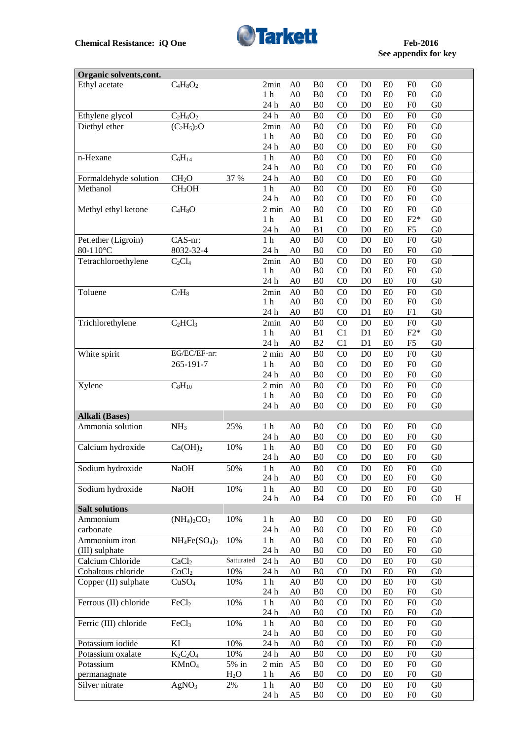

## **See appendix for key**

| Organic solvents, cont. |                     |                  |                        |                |                      |                |                                  |                                  |                |                |              |
|-------------------------|---------------------|------------------|------------------------|----------------|----------------------|----------------|----------------------------------|----------------------------------|----------------|----------------|--------------|
| Ethyl acetate           | $C_4H_8O_2$         |                  | 2min                   | A <sub>0</sub> | B <sub>0</sub>       | C <sub>0</sub> | D <sub>0</sub>                   | E <sub>0</sub>                   | F <sub>0</sub> | G <sub>0</sub> |              |
|                         |                     |                  | 1 <sub>h</sub>         | A <sub>0</sub> | B <sub>0</sub>       | CO             | D <sub>0</sub>                   | E <sub>0</sub>                   | F <sub>0</sub> | G <sub>0</sub> |              |
|                         |                     |                  | 24 h                   | A <sub>0</sub> | B <sub>0</sub>       | C <sub>0</sub> | D <sub>0</sub>                   | E <sub>0</sub>                   | F <sub>0</sub> | G <sub>0</sub> |              |
| Ethylene glycol         | $C_2H_6O_2$         |                  | 24 h                   | A <sub>0</sub> | B <sub>0</sub>       | C <sub>0</sub> | D <sub>0</sub>                   | E <sub>0</sub>                   | F <sub>0</sub> | G <sub>0</sub> |              |
| Diethyl ether           | $(C_2H_5)_2O$       |                  | 2min                   | A <sub>0</sub> | B <sub>0</sub>       | C <sub>0</sub> | D <sub>0</sub>                   | E <sub>0</sub>                   | F <sub>0</sub> | G <sub>0</sub> |              |
|                         |                     |                  | 1 <sub>h</sub>         | A <sub>0</sub> | B <sub>0</sub>       | C <sub>0</sub> | D <sub>0</sub>                   | E <sub>0</sub>                   | F <sub>0</sub> | G <sub>0</sub> |              |
|                         |                     |                  | 24 h                   | A <sub>0</sub> | B <sub>0</sub>       | C <sub>0</sub> | D <sub>0</sub>                   | E <sub>0</sub>                   | F <sub>0</sub> | G <sub>0</sub> |              |
| n-Hexane                | $C_6H_{14}$         |                  | $1\ \mathrm{h}$        | A <sub>0</sub> | B <sub>0</sub>       | C <sub>0</sub> | D <sub>0</sub>                   | E <sub>0</sub>                   | F <sub>0</sub> | G <sub>0</sub> |              |
|                         |                     |                  | 24 h                   | A <sub>0</sub> | B <sub>0</sub>       | C <sub>0</sub> | D <sub>0</sub>                   | E <sub>0</sub>                   | F <sub>0</sub> | G <sub>0</sub> |              |
| Formaldehyde solution   | CH <sub>2</sub> O   | 37 %             | 24 h                   | A <sub>0</sub> | B <sub>0</sub>       | C <sub>0</sub> | D <sub>0</sub>                   | E <sub>0</sub>                   | F <sub>0</sub> | G <sub>0</sub> |              |
| Methanol                | CH <sub>3</sub> OH  |                  | 1 <sub>h</sub>         | A <sub>0</sub> | B <sub>0</sub>       | C <sub>0</sub> | D <sub>0</sub>                   | E <sub>0</sub>                   | F <sub>0</sub> | G <sub>0</sub> |              |
|                         |                     |                  | 24 h                   | A <sub>0</sub> | B <sub>0</sub>       | C <sub>0</sub> | D <sub>0</sub>                   | E0                               | F <sub>0</sub> | G <sub>0</sub> |              |
| Methyl ethyl ketone     | $C_4H_8O$           |                  | $2 \text{ min}$        | A <sub>0</sub> | B <sub>0</sub>       | C <sub>0</sub> | D <sub>0</sub>                   | E0                               | ${\rm F0}$     | G <sub>0</sub> |              |
|                         |                     |                  | 1 <sub>h</sub>         | A <sub>0</sub> | B1                   | C <sub>0</sub> | D <sub>0</sub>                   | E0                               | $F2*$          | G <sub>0</sub> |              |
|                         |                     |                  | 24 h                   | A <sub>0</sub> | B1                   | C <sub>0</sub> | D <sub>0</sub>                   | E0                               | ${\rm F}5$     | G <sub>0</sub> |              |
| Pet.ether (Ligroin)     | CAS-nr:             |                  | $1\ \mathrm{h}$        | A <sub>0</sub> | B <sub>0</sub>       | C <sub>0</sub> | D <sub>0</sub>                   | E0                               | F <sub>0</sub> | G <sub>0</sub> |              |
| 80-110°C                | 8032-32-4           |                  | 24 h                   | A <sub>0</sub> | B <sub>0</sub>       | C <sub>0</sub> | D <sub>0</sub>                   | E <sub>0</sub>                   | F <sub>0</sub> | G <sub>0</sub> |              |
| Tetrachloroethylene     | $C_2Cl_4$           |                  | 2min                   | A <sub>0</sub> | B <sub>0</sub>       | C <sub>0</sub> | D <sub>0</sub>                   | E0                               | F <sub>0</sub> | G <sub>0</sub> |              |
|                         |                     |                  | 1 <sub>h</sub>         | A <sub>0</sub> | B <sub>0</sub>       | C <sub>0</sub> | D <sub>0</sub>                   | E <sub>0</sub>                   | F <sub>0</sub> | G <sub>0</sub> |              |
|                         |                     |                  | 24 h                   | A <sub>0</sub> | B <sub>0</sub>       | C <sub>0</sub> | D <sub>0</sub>                   | E <sub>0</sub>                   | F <sub>0</sub> | G <sub>0</sub> |              |
| Toluene                 | $C_7H_8$            |                  | 2min                   | A <sub>0</sub> | B <sub>0</sub>       | CO             | D <sub>0</sub>                   | E <sub>0</sub>                   | F <sub>0</sub> | G <sub>0</sub> |              |
|                         |                     |                  | 1 <sub>h</sub>         | A <sub>0</sub> | B <sub>0</sub>       | C <sub>0</sub> | D <sub>0</sub>                   | E <sub>0</sub>                   | F <sub>0</sub> | G <sub>0</sub> |              |
|                         |                     |                  | 24 h                   | A <sub>0</sub> | B <sub>0</sub>       | C <sub>0</sub> | D <sub>1</sub>                   | E <sub>0</sub>                   | F1             | G <sub>0</sub> |              |
|                         |                     |                  |                        | A <sub>0</sub> |                      |                |                                  |                                  | F <sub>0</sub> | G <sub>0</sub> |              |
| Trichlorethylene        | $C_2HCl_3$          |                  | 2min<br>1 <sub>h</sub> | A <sub>0</sub> | B <sub>0</sub><br>B1 | CO<br>C1       | D <sub>0</sub><br>D <sub>1</sub> | E <sub>0</sub><br>E <sub>0</sub> | $F2*$          | G <sub>0</sub> |              |
|                         |                     |                  |                        |                |                      |                |                                  |                                  |                |                |              |
|                         | EG/EC/EF-nr:        |                  | 24 h                   | A <sub>0</sub> | B <sub>2</sub>       | C1             | D <sub>1</sub>                   | E <sub>0</sub>                   | F <sub>5</sub> | G <sub>0</sub> |              |
| White spirit            |                     |                  | $2 \text{ min}$        | A <sub>0</sub> | B <sub>0</sub>       | C <sub>0</sub> | D <sub>0</sub>                   | E <sub>0</sub>                   | F <sub>0</sub> | G <sub>0</sub> |              |
|                         | 265-191-7           |                  | 1 <sub>h</sub>         | A <sub>0</sub> | B <sub>0</sub>       | C <sub>0</sub> | D <sub>0</sub>                   | E <sub>0</sub>                   | F <sub>0</sub> | G <sub>0</sub> |              |
|                         |                     |                  | 24 h                   | A <sub>0</sub> | B <sub>0</sub>       | C <sub>0</sub> | D <sub>0</sub>                   | E <sub>0</sub>                   | F <sub>0</sub> | G <sub>0</sub> |              |
| Xylene                  | $C_8H_{10}$         |                  | $2 \text{ min}$        | A <sub>0</sub> | B <sub>0</sub>       | C <sub>0</sub> | D <sub>0</sub>                   | E <sub>0</sub>                   | F <sub>0</sub> | G <sub>0</sub> |              |
|                         |                     |                  | 1 <sub>h</sub>         | A <sub>0</sub> | B <sub>0</sub>       | C <sub>0</sub> | D <sub>0</sub>                   | E <sub>0</sub>                   | F <sub>0</sub> | G <sub>0</sub> |              |
|                         |                     |                  | 24 h                   | A <sub>0</sub> | B <sub>0</sub>       | CO             | D <sub>0</sub>                   | E <sub>0</sub>                   | F <sub>0</sub> | G <sub>0</sub> |              |
| <b>Alkali</b> (Bases)   |                     |                  |                        |                |                      |                |                                  |                                  |                |                |              |
| Ammonia solution        | NH <sub>3</sub>     | 25%              | 1 <sub>h</sub>         | A <sub>0</sub> | B <sub>0</sub>       | C <sub>0</sub> | D <sub>0</sub>                   | E <sub>0</sub>                   | F <sub>0</sub> | G <sub>0</sub> |              |
|                         |                     |                  | 24 h                   | A <sub>0</sub> | B <sub>0</sub>       | C <sub>0</sub> | D <sub>0</sub>                   | E <sub>0</sub>                   | F <sub>0</sub> | G <sub>0</sub> |              |
| Calcium hydroxide       | Ca(OH) <sub>2</sub> | 10%              | 1 <sub>h</sub>         | A <sub>0</sub> | B <sub>0</sub>       | CO             | D <sub>0</sub>                   | E <sub>0</sub>                   | F <sub>0</sub> | G <sub>0</sub> |              |
|                         |                     |                  | 24 h                   | A <sub>0</sub> | B <sub>0</sub>       | C <sub>0</sub> | D <sub>0</sub>                   | E0                               | F <sub>0</sub> | G <sub>0</sub> |              |
| Sodium hydroxide        | <b>NaOH</b>         | 50%              | 1 <sub>h</sub>         | A0             | <sub>B0</sub>        | $_{\rm C0}$    | D <sub>0</sub>                   | E <sub>0</sub>                   | F <sub>0</sub> | G <sub>0</sub> |              |
|                         |                     |                  | 24 h                   | A <sub>0</sub> | B <sub>0</sub>       | C <sub>0</sub> | D <sub>0</sub>                   | E0                               | F <sub>0</sub> | G <sub>0</sub> |              |
| Sodium hydroxide        | <b>NaOH</b>         | 10%              | 1 <sub>h</sub>         | A <sub>0</sub> | B <sub>0</sub>       | C <sub>0</sub> | D <sub>0</sub>                   | E <sub>0</sub>                   | F <sub>0</sub> | G <sub>0</sub> |              |
|                         |                     |                  | 24 h                   | A <sub>0</sub> | B <sub>4</sub>       | C <sub>0</sub> | D <sub>0</sub>                   | E0                               | F <sub>0</sub> | ${\rm G0}$     | $\, {\rm H}$ |
| <b>Salt solutions</b>   |                     |                  |                        |                |                      |                |                                  |                                  |                |                |              |
| Ammonium                | $(NH4)2CO3$         | 10%              | 1 <sub>h</sub>         | A <sub>0</sub> | B <sub>0</sub>       | C <sub>0</sub> | D <sub>0</sub>                   | E <sub>0</sub>                   | F <sub>0</sub> | G <sub>0</sub> |              |
| carbonate               |                     |                  | 24 h                   | A <sub>0</sub> | B <sub>0</sub>       | C <sub>0</sub> | D <sub>0</sub>                   | E <sub>0</sub>                   | F <sub>0</sub> | G <sub>0</sub> |              |
| Ammonium iron           | $NH_4Fe(SO_4)_2$    | 10%              | $1\ \mathrm{h}$        | A <sub>0</sub> | B <sub>0</sub>       | C <sub>0</sub> | D <sub>0</sub>                   | E0                               | ${\rm F0}$     | G <sub>0</sub> |              |
| (III) sulphate          |                     |                  | 24 h                   | A <sub>0</sub> | B <sub>0</sub>       | C <sub>0</sub> | D <sub>0</sub>                   | E <sub>0</sub>                   | F <sub>0</sub> | G <sub>0</sub> |              |
| Calcium Chloride        | CaCl <sub>2</sub>   | Satturated       | 24 h                   | A <sub>0</sub> | B <sub>0</sub>       | C <sub>0</sub> | D <sub>0</sub>                   | E <sub>0</sub>                   | F <sub>0</sub> | G <sub>0</sub> |              |
| Cobaltous chloride      | CoCl <sub>2</sub>   | 10%              | 24 h                   | A <sub>0</sub> | ${\bf B0}$           | C <sub>0</sub> | D <sub>0</sub>                   | E <sub>0</sub>                   | F <sub>0</sub> | G <sub>0</sub> |              |
| Copper (II) sulphate    | CuSO <sub>4</sub>   | 10%              | 1 <sub>h</sub>         | A <sub>0</sub> | B <sub>0</sub>       | C <sub>0</sub> | D <sub>0</sub>                   | E <sub>0</sub>                   | F <sub>0</sub> | G <sub>0</sub> |              |
|                         |                     |                  | 24 h                   | A <sub>0</sub> | B <sub>0</sub>       | C <sub>0</sub> | D <sub>0</sub>                   | E0                               | F <sub>0</sub> | G <sub>0</sub> |              |
| Ferrous (II) chloride   | FeCl <sub>2</sub>   | 10%              | $1\ \mathrm{h}$        | A <sub>0</sub> | B <sub>0</sub>       | C <sub>0</sub> | D <sub>0</sub>                   | E <sub>0</sub>                   | F <sub>0</sub> | G <sub>0</sub> |              |
|                         |                     |                  | 24 h                   | A <sub>0</sub> | B <sub>0</sub>       | C <sub>0</sub> | D <sub>0</sub>                   | E <sub>0</sub>                   | F <sub>0</sub> | G <sub>0</sub> |              |
| Ferric (III) chloride   | FeCl <sub>3</sub>   | 10%              | $1\ \mathrm{h}$        | A <sub>0</sub> | B <sub>0</sub>       | C <sub>0</sub> | D <sub>0</sub>                   | E <sub>0</sub>                   | F <sub>0</sub> | G <sub>0</sub> |              |
|                         |                     |                  | 24 h                   | A <sub>0</sub> | B <sub>0</sub>       | C <sub>0</sub> | D <sub>0</sub>                   | E <sub>0</sub>                   | F <sub>0</sub> | G <sub>0</sub> |              |
| Potassium iodide        | KI                  | 10%              | 24 h                   | A <sub>0</sub> | B <sub>0</sub>       | C <sub>0</sub> | D <sub>0</sub>                   | E <sub>0</sub>                   | F <sub>0</sub> | ${\rm G0}$     |              |
| Potassium oxalate       | $K_2C_2O_4$         | 10%              | 24 h                   | A <sub>0</sub> | B <sub>0</sub>       | C <sub>0</sub> | D <sub>0</sub>                   | E <sub>0</sub>                   | F <sub>0</sub> | G <sub>0</sub> |              |
| Potassium               | KMnO <sub>4</sub>   | 5% in            | $2 \text{ min}$        | A <sub>5</sub> | B <sub>0</sub>       | C <sub>0</sub> | D <sub>0</sub>                   | E <sub>0</sub>                   | F <sub>0</sub> | G <sub>0</sub> |              |
| permanagnate            |                     | H <sub>2</sub> O | 1 <sub>h</sub>         | A6             | B <sub>0</sub>       | C <sub>0</sub> | D <sub>0</sub>                   | E <sub>0</sub>                   | F <sub>0</sub> | G <sub>0</sub> |              |
| Silver nitrate          | AgNO <sub>3</sub>   | 2%               | 1 <sub>h</sub>         | A <sub>0</sub> | B <sub>0</sub>       | C <sub>0</sub> | D <sub>0</sub>                   | E <sub>0</sub>                   | F <sub>0</sub> | G <sub>0</sub> |              |
|                         |                     |                  | 24 h                   | A <sub>5</sub> | B <sub>0</sub>       | C <sub>0</sub> | D <sub>0</sub>                   | E <sub>0</sub>                   | F <sub>0</sub> | G <sub>0</sub> |              |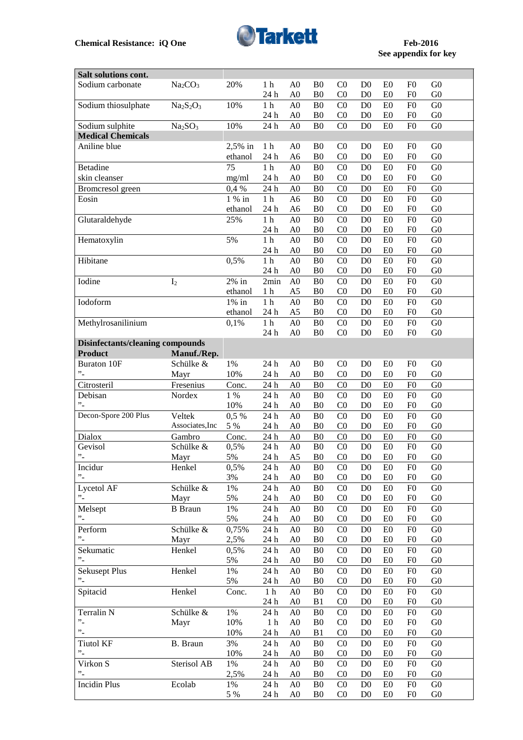

## **See appendix for key**

| Salt solutions cont.                    |                                 |          |                             |                 |                 |                |                 |                |                 |                 |
|-----------------------------------------|---------------------------------|----------|-----------------------------|-----------------|-----------------|----------------|-----------------|----------------|-----------------|-----------------|
| Sodium carbonate                        | Na <sub>2</sub> CO <sub>3</sub> | 20%      | 1 <sub>h</sub>              | A <sub>0</sub>  | B <sub>0</sub>  | CO             | D <sub>0</sub>  | E <sub>0</sub> | F <sub>0</sub>  | G <sub>0</sub>  |
|                                         |                                 |          | 24 h                        | A <sub>0</sub>  | B <sub>0</sub>  | C <sub>0</sub> | D <sub>0</sub>  | E <sub>0</sub> | F <sub>0</sub>  | G <sub>0</sub>  |
| Sodium thiosulphate                     | $Na2S2O3$                       | 10%      | $1\ \mathrm{h}$             | A <sub>0</sub>  | B <sub>0</sub>  | CO             | D <sub>0</sub>  | E0             | F <sub>0</sub>  | G <sub>0</sub>  |
|                                         |                                 |          | 24 h                        | A <sub>0</sub>  | B <sub>0</sub>  | C <sub>0</sub> | D <sub>0</sub>  | E <sub>0</sub> | F <sub>0</sub>  | G <sub>0</sub>  |
| Sodium sulphite                         | Na <sub>2</sub> SO <sub>3</sub> | 10%      | 24 h                        | A <sub>0</sub>  | B <sub>0</sub>  | CO             | D <sub>0</sub>  | E0             | F <sub>0</sub>  | G <sub>0</sub>  |
| <b>Medical Chemicals</b>                |                                 |          |                             |                 |                 |                |                 |                |                 |                 |
| Aniline blue                            |                                 | 2,5% in  | 1 <sub>h</sub>              | A <sub>0</sub>  | B <sub>0</sub>  | C <sub>0</sub> | D <sub>0</sub>  | E <sub>0</sub> | F <sub>0</sub>  | G <sub>0</sub>  |
|                                         |                                 | ethanol  | 24 h                        | A <sub>6</sub>  | B <sub>0</sub>  | C <sub>0</sub> | D <sub>0</sub>  | E0             | F <sub>0</sub>  | G <sub>0</sub>  |
| <b>Betadine</b>                         |                                 | 75       | $1\ \mathrm{h}$             | A <sub>0</sub>  | B <sub>0</sub>  | C <sub>0</sub> | D <sub>0</sub>  | E0             | F <sub>0</sub>  | G <sub>0</sub>  |
| skin cleanser                           |                                 | mg/ml    | 24 h                        | ${\rm A0}$      | B <sub>0</sub>  | C <sub>0</sub> | D <sub>0</sub>  | E0             | F <sub>0</sub>  | G <sub>0</sub>  |
| Bromcresol green                        |                                 | 0.4%     | 24 h                        | A <sub>0</sub>  | B <sub>0</sub>  | C <sub>0</sub> | D <sub>0</sub>  | E0             | F <sub>0</sub>  | G <sub>0</sub>  |
| Eosin                                   |                                 | 1 % in   | $1\ \mathrm{h}$             | A <sub>6</sub>  | B <sub>0</sub>  | CO             | D <sub>0</sub>  | E0             | F <sub>0</sub>  | G <sub>0</sub>  |
|                                         |                                 | ethanol  | 24 h                        | A6              | B <sub>0</sub>  | C <sub>0</sub> | D <sub>0</sub>  | E0             | F <sub>0</sub>  | ${\rm G0}$      |
| Glutaraldehyde                          |                                 | 25%      | $1\ \mathrm{h}$             | $\overline{A0}$ | B <sub>0</sub>  | C <sub>0</sub> | D <sub>0</sub>  | ${\rm E0}$     | F <sub>0</sub>  | G <sub>0</sub>  |
|                                         |                                 |          | 24 h                        | ${\bf A0}$      | B <sub>0</sub>  | C <sub>0</sub> | D <sub>0</sub>  | E <sub>0</sub> | F <sub>0</sub>  | G <sub>0</sub>  |
|                                         |                                 | 5%       |                             | A <sub>0</sub>  | $B\overline{0}$ |                |                 |                | F <sub>0</sub>  | G <sub>0</sub>  |
| Hematoxylin                             |                                 |          | $1\ \mathrm{h}$             |                 |                 | C <sub>0</sub> | D <sub>0</sub>  | E0             |                 |                 |
|                                         |                                 |          | 24 h                        | A0              | B <sub>0</sub>  | C <sub>0</sub> | D <sub>0</sub>  | E0             | F <sub>0</sub>  | G <sub>0</sub>  |
| Hibitane                                |                                 | 0,5%     | $1\ \mathrm{h}$             | A <sub>0</sub>  | B <sub>0</sub>  | C <sub>0</sub> | D <sub>0</sub>  | E <sub>0</sub> | F <sub>0</sub>  | G <sub>0</sub>  |
|                                         |                                 |          | 24 h                        | A <sub>0</sub>  | B <sub>0</sub>  | C <sub>0</sub> | D <sub>0</sub>  | E0             | F <sub>0</sub>  | G <sub>0</sub>  |
| Iodine                                  | I <sub>2</sub>                  | $2\%$ in | 2min                        | A <sub>0</sub>  | B <sub>0</sub>  | CO             | D <sub>0</sub>  | E <sub>0</sub> | F <sub>0</sub>  | G <sub>0</sub>  |
|                                         |                                 | ethanol  | 1 <sub>h</sub>              | A <sub>5</sub>  | B <sub>0</sub>  | C <sub>0</sub> | D <sub>0</sub>  | E0             | F <sub>0</sub>  | G <sub>0</sub>  |
| Iodoform                                |                                 | $1\%$ in | 1 <sub>h</sub>              | A <sub>0</sub>  | B <sub>0</sub>  | CO             | D <sub>0</sub>  | E0             | F <sub>0</sub>  | G <sub>0</sub>  |
|                                         |                                 | ethanol  | 24 h                        | A5              | B <sub>0</sub>  | C <sub>0</sub> | D <sub>0</sub>  | E <sub>0</sub> | F <sub>0</sub>  | G <sub>0</sub>  |
| Methylrosanilinium                      |                                 | 0,1%     | $1\ \mathrm{h}$             | A <sub>0</sub>  | B <sub>0</sub>  | CO             | D <sub>0</sub>  | E0             | F <sub>0</sub>  | ${\rm G0}$      |
|                                         |                                 |          | 24 h                        | A <sub>0</sub>  | B <sub>0</sub>  | CO             | D <sub>0</sub>  | E <sub>0</sub> | F <sub>0</sub>  | G <sub>0</sub>  |
| <b>Disinfectants/cleaning compounds</b> |                                 |          |                             |                 |                 |                |                 |                |                 |                 |
| <b>Product</b>                          | Manuf./Rep.                     |          |                             |                 |                 |                |                 |                |                 |                 |
| <b>Buraton 10F</b>                      | Schülke &                       | 1%       | 24 h                        | A <sub>0</sub>  | B <sub>0</sub>  | C <sub>0</sub> | D <sub>0</sub>  | E <sub>0</sub> | F <sub>0</sub>  | G <sub>0</sub>  |
| $\cdot$ -                               | Mayr                            | 10%      | 24 h                        | A <sub>0</sub>  | B <sub>0</sub>  | C <sub>0</sub> | D <sub>0</sub>  | E <sub>0</sub> | F <sub>0</sub>  | G <sub>0</sub>  |
| Citrosteril                             | Fresenius                       | Conc.    | 24 h                        | ${\rm A0}$      | B <sub>0</sub>  | C <sub>0</sub> | D <sub>0</sub>  | E0             | F <sub>0</sub>  | G <sub>0</sub>  |
| Debisan                                 | Nordex                          | 1 %      | 24 h                        | A0              | B <sub>0</sub>  | C <sub>0</sub> | D <sub>0</sub>  | E0             | F <sub>0</sub>  | G <sub>0</sub>  |
| "-                                      |                                 | 10%      | 24 h                        | A <sub>0</sub>  | B <sub>0</sub>  | C <sub>0</sub> | D <sub>0</sub>  | E <sub>0</sub> | F <sub>0</sub>  | G <sub>0</sub>  |
| Decon-Spore 200 Plus                    | Veltek                          | 0,5%     | 24 h                        | A <sub>0</sub>  | B <sub>0</sub>  | C <sub>0</sub> | D <sub>0</sub>  | ${\rm E0}$     | F <sub>0</sub>  | G <sub>0</sub>  |
|                                         | Associates, Inc                 | 5 %      | 24 h                        | ${\rm A0}$      | B <sub>0</sub>  | C <sub>0</sub> | D <sub>0</sub>  | E0             | F <sub>0</sub>  | G <sub>0</sub>  |
| Dialox                                  | Gambro                          | Conc.    | 24 h                        | ${\rm A0}$      | B <sub>0</sub>  | CO             | D <sub>0</sub>  | E0             | F <sub>0</sub>  | G <sub>0</sub>  |
| Gevisol                                 | Schülke &                       | 0,5%     | 24 h                        | A <sub>0</sub>  | B <sub>0</sub>  | C <sub>0</sub> | D <sub>0</sub>  | E0             | F <sub>0</sub>  | G <sub>0</sub>  |
| $\cdot$ .                               | Mayr                            | 5%       | $24\,\ensuremath{\hbox{h}}$ | A <sub>5</sub>  | B <sub>0</sub>  | C <sub>0</sub> | D <sub>0</sub>  | E0             | F <sub>0</sub>  | G <sub>0</sub>  |
| Incidur                                 |                                 | 0,5%     | 24h                         | $\overline{A0}$ | B <sub>0</sub>  | $\overline{C}$ | $\overline{D0}$ | E0             | $\overline{F0}$ | $\overline{G0}$ |
| $\cdot$ .                               | Henkel                          |          |                             |                 |                 |                |                 |                |                 |                 |
|                                         |                                 | 3%       | 24 h                        | A <sub>0</sub>  | B <sub>0</sub>  | C <sub>0</sub> | D <sub>0</sub>  | E <sub>0</sub> | F <sub>0</sub>  | ${\rm G0}$      |
| Lycetol AF                              | Schülke &                       | $1\%$    | 24 h                        | A <sub>0</sub>  | B <sub>0</sub>  | C <sub>0</sub> | D <sub>0</sub>  | E <sub>0</sub> | F <sub>0</sub>  | G <sub>0</sub>  |
| $\cdot$ .                               | Mayr                            | 5%       | 24 h                        | A <sub>0</sub>  | B <sub>0</sub>  | C <sub>0</sub> | D <sub>0</sub>  | E <sub>0</sub> | F <sub>0</sub>  | G <sub>0</sub>  |
| Melsept                                 | <b>B</b> Braun                  | $1\%$    | 24 h                        | A <sub>0</sub>  | B <sub>0</sub>  | C <sub>0</sub> | D <sub>0</sub>  | E0             | F <sub>0</sub>  | G <sub>0</sub>  |
| $\cdot$ .                               |                                 | 5%       | 24 h                        | A <sub>0</sub>  | B <sub>0</sub>  | C <sub>0</sub> | D <sub>0</sub>  | E <sub>0</sub> | F <sub>0</sub>  | G <sub>0</sub>  |
| Perform                                 | Schülke &                       | 0,75%    | 24 h                        | A <sub>0</sub>  | B <sub>0</sub>  | CO             | D <sub>0</sub>  | E0             | F <sub>0</sub>  | G <sub>0</sub>  |
| "-                                      | Mayr                            | 2,5%     | 24 h                        | A <sub>0</sub>  | B <sub>0</sub>  | C <sub>0</sub> | D <sub>0</sub>  | E <sub>0</sub> | F <sub>0</sub>  | G <sub>0</sub>  |
| Sekumatic                               | Henkel                          | 0,5%     | 24 h                        | A <sub>0</sub>  | B <sub>0</sub>  | C <sub>0</sub> | D <sub>0</sub>  | E0             | F <sub>0</sub>  | G <sub>0</sub>  |
| "-                                      |                                 | 5%       | 24 h                        | A <sub>0</sub>  | B <sub>0</sub>  | C <sub>0</sub> | D <sub>0</sub>  | E0             | F <sub>0</sub>  | G <sub>0</sub>  |
| <b>Sekusept Plus</b>                    | Henkel                          | $1\%$    | 24h                         | A <sub>0</sub>  | B <sub>0</sub>  | C <sub>0</sub> | D <sub>0</sub>  | E0             | F <sub>0</sub>  | G <sub>0</sub>  |
| "-                                      |                                 | 5%       | 24 h                        | A <sub>0</sub>  | B <sub>0</sub>  | C <sub>0</sub> | D <sub>0</sub>  | E <sub>0</sub> | F <sub>0</sub>  | G <sub>0</sub>  |
| Spitacid                                | Henkel                          | Conc.    | $1\ \mathrm{h}$             | A <sub>0</sub>  | B <sub>0</sub>  | C <sub>0</sub> | D <sub>0</sub>  | E0             | F <sub>0</sub>  | G <sub>0</sub>  |
|                                         |                                 |          | 24 h                        | A <sub>0</sub>  | B <sub>1</sub>  | C <sub>0</sub> | D <sub>0</sub>  | E <sub>0</sub> | F <sub>0</sub>  | G <sub>0</sub>  |
| Terralin N                              | Schülke &                       | $1\%$    | 24 h                        | A <sub>0</sub>  | B <sub>0</sub>  | C <sub>0</sub> | D <sub>0</sub>  | E0             | F <sub>0</sub>  | ${\rm G0}$      |
| "-                                      | Mayr                            | 10%      | 1 <sub>h</sub>              | A <sub>0</sub>  | B <sub>0</sub>  | C <sub>0</sub> | D <sub>0</sub>  | E0             | F <sub>0</sub>  | G <sub>0</sub>  |
| "-                                      |                                 | 10%      | 24 h                        | A <sub>0</sub>  | B1              | C <sub>0</sub> | D <sub>0</sub>  | E <sub>0</sub> | F <sub>0</sub>  | G <sub>0</sub>  |
| <b>Tiutol KF</b>                        | B. Braun                        | 3%       | 24 h                        | A <sub>0</sub>  | B <sub>0</sub>  | C <sub>0</sub> | D <sub>0</sub>  | E <sub>0</sub> | F <sub>0</sub>  | G <sub>0</sub>  |
| "-                                      |                                 | 10%      | 24 h                        | A <sub>0</sub>  | B <sub>0</sub>  | C <sub>0</sub> | D <sub>0</sub>  | E <sub>0</sub> | F <sub>0</sub>  | G <sub>0</sub>  |
| Virkon S                                | Sterisol AB                     | 1%       |                             | A <sub>0</sub>  |                 | C <sub>0</sub> |                 |                |                 | G <sub>0</sub>  |
| "-                                      |                                 |          | 24 h                        |                 | B <sub>0</sub>  |                | D <sub>0</sub>  | E <sub>0</sub> | F <sub>0</sub>  |                 |
|                                         |                                 | 2,5%     | 24 h                        | A <sub>0</sub>  | B <sub>0</sub>  | C <sub>0</sub> | D <sub>0</sub>  | E <sub>0</sub> | F <sub>0</sub>  | G <sub>0</sub>  |
| <b>Incidin Plus</b>                     | Ecolab                          | 1%       | 24 h                        | A <sub>0</sub>  | B <sub>0</sub>  | C <sub>0</sub> | D <sub>0</sub>  | E0             | F <sub>0</sub>  | G <sub>0</sub>  |
|                                         |                                 | 5 %      | 24 h                        | A <sub>0</sub>  | B <sub>0</sub>  | C <sub>0</sub> | D <sub>0</sub>  | E <sub>0</sub> | F <sub>0</sub>  | G <sub>0</sub>  |